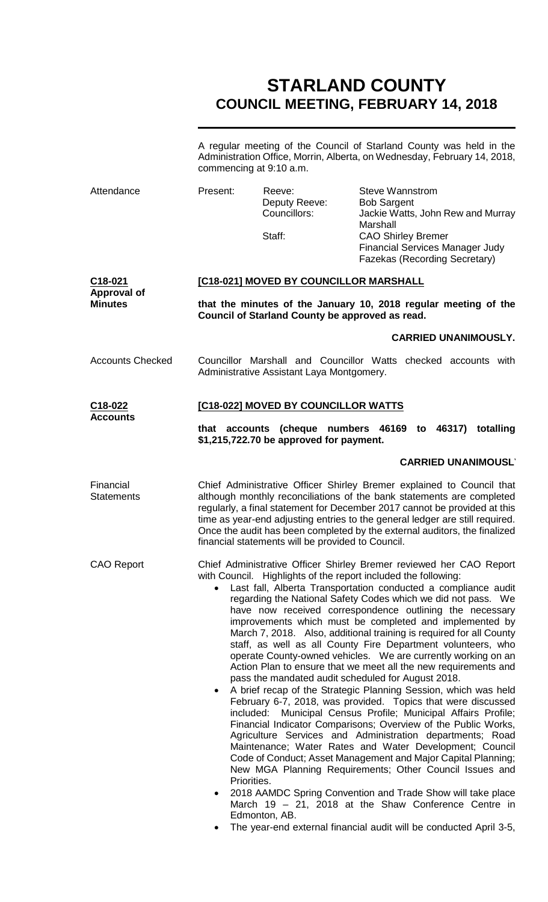# **STARLAND COUNTY COUNCIL MEETING, FEBRUARY 14, 2018**

A regular meeting of the Council of Starland County was held in the Administration Office, Morrin, Alberta, on Wednesday, February 14, 2018, commencing at 9:10 a.m.

| Attendance                     | Present:                                                                                                                                                                                                                                                                                                                                                                                                                                      | Reeve:<br>Deputy Reeve:<br>Councillors:<br>Staff:                                                                                                            | <b>Steve Wannstrom</b><br><b>Bob Sargent</b><br>Jackie Watts, John Rew and Murray<br>Marshall<br><b>CAO Shirley Bremer</b><br><b>Financial Services Manager Judy</b><br>Fazekas (Recording Secretary)                                                                                                                                                                                                                                                                                                                                                                                                                                                                                                                                                                                                                                                                                                                                                                                                                                                                                                                                                                                                                                                                                                                                                                              |  |  |
|--------------------------------|-----------------------------------------------------------------------------------------------------------------------------------------------------------------------------------------------------------------------------------------------------------------------------------------------------------------------------------------------------------------------------------------------------------------------------------------------|--------------------------------------------------------------------------------------------------------------------------------------------------------------|------------------------------------------------------------------------------------------------------------------------------------------------------------------------------------------------------------------------------------------------------------------------------------------------------------------------------------------------------------------------------------------------------------------------------------------------------------------------------------------------------------------------------------------------------------------------------------------------------------------------------------------------------------------------------------------------------------------------------------------------------------------------------------------------------------------------------------------------------------------------------------------------------------------------------------------------------------------------------------------------------------------------------------------------------------------------------------------------------------------------------------------------------------------------------------------------------------------------------------------------------------------------------------------------------------------------------------------------------------------------------------|--|--|
| C18-021                        |                                                                                                                                                                                                                                                                                                                                                                                                                                               | [C18-021] MOVED BY COUNCILLOR MARSHALL<br>that the minutes of the January 10, 2018 regular meeting of the<br>Council of Starland County be approved as read. |                                                                                                                                                                                                                                                                                                                                                                                                                                                                                                                                                                                                                                                                                                                                                                                                                                                                                                                                                                                                                                                                                                                                                                                                                                                                                                                                                                                    |  |  |
| Approval of<br><b>Minutes</b>  |                                                                                                                                                                                                                                                                                                                                                                                                                                               |                                                                                                                                                              |                                                                                                                                                                                                                                                                                                                                                                                                                                                                                                                                                                                                                                                                                                                                                                                                                                                                                                                                                                                                                                                                                                                                                                                                                                                                                                                                                                                    |  |  |
|                                |                                                                                                                                                                                                                                                                                                                                                                                                                                               |                                                                                                                                                              | <b>CARRIED UNANIMOUSLY.</b>                                                                                                                                                                                                                                                                                                                                                                                                                                                                                                                                                                                                                                                                                                                                                                                                                                                                                                                                                                                                                                                                                                                                                                                                                                                                                                                                                        |  |  |
| <b>Accounts Checked</b>        | Councillor Marshall and Councillor Watts checked accounts with<br>Administrative Assistant Laya Montgomery.                                                                                                                                                                                                                                                                                                                                   |                                                                                                                                                              |                                                                                                                                                                                                                                                                                                                                                                                                                                                                                                                                                                                                                                                                                                                                                                                                                                                                                                                                                                                                                                                                                                                                                                                                                                                                                                                                                                                    |  |  |
| C18-022                        | [C18-022] MOVED BY COUNCILLOR WATTS                                                                                                                                                                                                                                                                                                                                                                                                           |                                                                                                                                                              |                                                                                                                                                                                                                                                                                                                                                                                                                                                                                                                                                                                                                                                                                                                                                                                                                                                                                                                                                                                                                                                                                                                                                                                                                                                                                                                                                                                    |  |  |
| <b>Accounts</b>                |                                                                                                                                                                                                                                                                                                                                                                                                                                               | \$1,215,722.70 be approved for payment.                                                                                                                      | that accounts (cheque numbers 46169 to 46317) totalling                                                                                                                                                                                                                                                                                                                                                                                                                                                                                                                                                                                                                                                                                                                                                                                                                                                                                                                                                                                                                                                                                                                                                                                                                                                                                                                            |  |  |
|                                |                                                                                                                                                                                                                                                                                                                                                                                                                                               |                                                                                                                                                              | <b>CARRIED UNANIMOUSL'</b>                                                                                                                                                                                                                                                                                                                                                                                                                                                                                                                                                                                                                                                                                                                                                                                                                                                                                                                                                                                                                                                                                                                                                                                                                                                                                                                                                         |  |  |
| Financial<br><b>Statements</b> | Chief Administrative Officer Shirley Bremer explained to Council that<br>although monthly reconciliations of the bank statements are completed<br>regularly, a final statement for December 2017 cannot be provided at this<br>time as year-end adjusting entries to the general ledger are still required.<br>Once the audit has been completed by the external auditors, the finalized<br>financial statements will be provided to Council. |                                                                                                                                                              |                                                                                                                                                                                                                                                                                                                                                                                                                                                                                                                                                                                                                                                                                                                                                                                                                                                                                                                                                                                                                                                                                                                                                                                                                                                                                                                                                                                    |  |  |
| <b>CAO Report</b>              | $\bullet$<br>٠                                                                                                                                                                                                                                                                                                                                                                                                                                | Priorities.<br>Edmonton, AB.                                                                                                                                 | Chief Administrative Officer Shirley Bremer reviewed her CAO Report<br>with Council. Highlights of the report included the following:<br>Last fall, Alberta Transportation conducted a compliance audit<br>regarding the National Safety Codes which we did not pass. We<br>have now received correspondence outlining the necessary<br>improvements which must be completed and implemented by<br>March 7, 2018. Also, additional training is required for all County<br>staff, as well as all County Fire Department volunteers, who<br>operate County-owned vehicles. We are currently working on an<br>Action Plan to ensure that we meet all the new requirements and<br>pass the mandated audit scheduled for August 2018.<br>A brief recap of the Strategic Planning Session, which was held<br>February 6-7, 2018, was provided. Topics that were discussed<br>included: Municipal Census Profile; Municipal Affairs Profile;<br>Financial Indicator Comparisons; Overview of the Public Works,<br>Agriculture Services and Administration departments; Road<br>Maintenance; Water Rates and Water Development; Council<br>Code of Conduct; Asset Management and Major Capital Planning;<br>New MGA Planning Requirements; Other Council Issues and<br>2018 AAMDC Spring Convention and Trade Show will take place<br>March 19 - 21, 2018 at the Shaw Conference Centre in |  |  |

• The year-end external financial audit will be conducted April 3-5,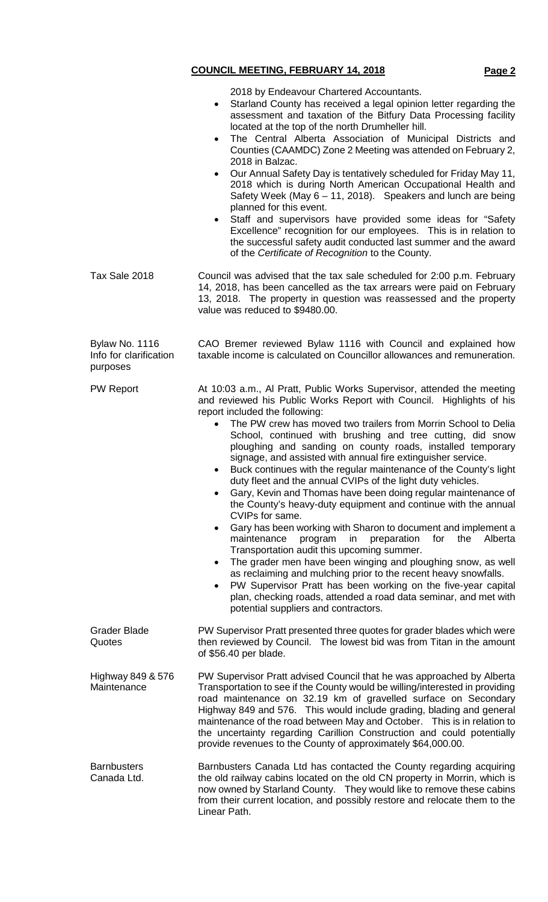2018 by Endeavour Chartered Accountants.

- Starland County has received a legal opinion letter regarding the assessment and taxation of the Bitfury Data Processing facility located at the top of the north Drumheller hill.
- The Central Alberta Association of Municipal Districts and Counties (CAAMDC) Zone 2 Meeting was attended on February 2, 2018 in Balzac.
- Our Annual Safety Day is tentatively scheduled for Friday May 11, 2018 which is during North American Occupational Health and Safety Week (May 6 – 11, 2018). Speakers and lunch are being planned for this event.
- Staff and supervisors have provided some ideas for "Safety" Excellence" recognition for our employees. This is in relation to the successful safety audit conducted last summer and the award of the *Certificate of Recognition* to the County.
- Tax Sale 2018 Council was advised that the tax sale scheduled for 2:00 p.m. February 14, 2018, has been cancelled as the tax arrears were paid on February 13, 2018. The property in question was reassessed and the property value was reduced to \$9480.00.

purposes

Bylaw No. 1116 Info for clarification CAO Bremer reviewed Bylaw 1116 with Council and explained how taxable income is calculated on Councillor allowances and remuneration.

PW Report **At 10:03 a.m., AI Pratt, Public Works Supervisor, attended the meeting** and reviewed his Public Works Report with Council. Highlights of his report included the following:

- The PW crew has moved two trailers from Morrin School to Delia School, continued with brushing and tree cutting, did snow ploughing and sanding on county roads, installed temporary signage, and assisted with annual fire extinguisher service.
- Buck continues with the regular maintenance of the County's light duty fleet and the annual CVIPs of the light duty vehicles.
- Gary, Kevin and Thomas have been doing regular maintenance of the County's heavy-duty equipment and continue with the annual CVIPs for same.
- Gary has been working with Sharon to document and implement a maintenance program in preparation for the Alberta Transportation audit this upcoming summer.
- The grader men have been winging and ploughing snow, as well as reclaiming and mulching prior to the recent heavy snowfalls.
- PW Supervisor Pratt has been working on the five-year capital plan, checking roads, attended a road data seminar, and met with potential suppliers and contractors.

Grader Blade Quotes PW Supervisor Pratt presented three quotes for grader blades which were then reviewed by Council. The lowest bid was from Titan in the amount of \$56.40 per blade.

Highway 849 & 576 **Maintenance** PW Supervisor Pratt advised Council that he was approached by Alberta Transportation to see if the County would be willing/interested in providing road maintenance on 32.19 km of gravelled surface on Secondary Highway 849 and 576. This would include grading, blading and general maintenance of the road between May and October. This is in relation to the uncertainty regarding Carillion Construction and could potentially provide revenues to the County of approximately \$64,000.00.

**Barnbusters** Canada Ltd. Barnbusters Canada Ltd has contacted the County regarding acquiring the old railway cabins located on the old CN property in Morrin, which is now owned by Starland County. They would like to remove these cabins from their current location, and possibly restore and relocate them to the Linear Path.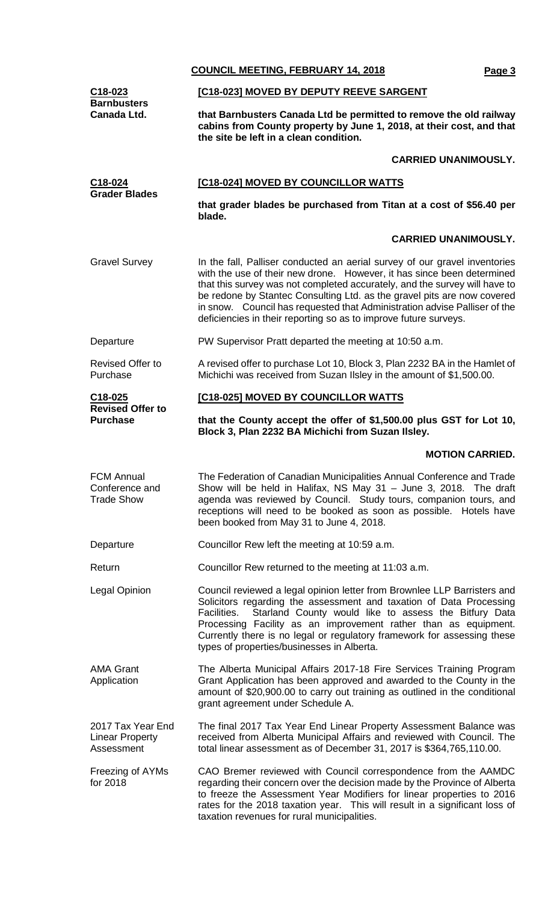|                                                           | <b>COUNCIL MEETING, FEBRUARY 14, 2018</b><br>Page 3                                                                                                                                                                                                                                                                                                                                                                                                            |  |  |
|-----------------------------------------------------------|----------------------------------------------------------------------------------------------------------------------------------------------------------------------------------------------------------------------------------------------------------------------------------------------------------------------------------------------------------------------------------------------------------------------------------------------------------------|--|--|
| C18-023                                                   | [C18-023] MOVED BY DEPUTY REEVE SARGENT                                                                                                                                                                                                                                                                                                                                                                                                                        |  |  |
| <b>Barnbusters</b><br>Canada Ltd.                         | that Barnbusters Canada Ltd be permitted to remove the old railway<br>cabins from County property by June 1, 2018, at their cost, and that<br>the site be left in a clean condition.                                                                                                                                                                                                                                                                           |  |  |
|                                                           | <b>CARRIED UNANIMOUSLY.</b>                                                                                                                                                                                                                                                                                                                                                                                                                                    |  |  |
| C <sub>18</sub> -024<br><b>Grader Blades</b>              | [C18-024] MOVED BY COUNCILLOR WATTS                                                                                                                                                                                                                                                                                                                                                                                                                            |  |  |
|                                                           | that grader blades be purchased from Titan at a cost of \$56.40 per<br>blade.                                                                                                                                                                                                                                                                                                                                                                                  |  |  |
|                                                           | <b>CARRIED UNANIMOUSLY.</b>                                                                                                                                                                                                                                                                                                                                                                                                                                    |  |  |
| <b>Gravel Survey</b>                                      | In the fall, Palliser conducted an aerial survey of our gravel inventories<br>with the use of their new drone. However, it has since been determined<br>that this survey was not completed accurately, and the survey will have to<br>be redone by Stantec Consulting Ltd. as the gravel pits are now covered<br>in snow. Council has requested that Administration advise Palliser of the<br>deficiencies in their reporting so as to improve future surveys. |  |  |
| Departure                                                 | PW Supervisor Pratt departed the meeting at 10:50 a.m.                                                                                                                                                                                                                                                                                                                                                                                                         |  |  |
| <b>Revised Offer to</b><br>Purchase                       | A revised offer to purchase Lot 10, Block 3, Plan 2232 BA in the Hamlet of<br>Michichi was received from Suzan IIsley in the amount of \$1,500.00.                                                                                                                                                                                                                                                                                                             |  |  |
| C18-025<br><b>Revised Offer to</b>                        | [C18-025] MOVED BY COUNCILLOR WATTS                                                                                                                                                                                                                                                                                                                                                                                                                            |  |  |
| <b>Purchase</b>                                           | that the County accept the offer of \$1,500.00 plus GST for Lot 10,<br>Block 3, Plan 2232 BA Michichi from Suzan Ilsley.                                                                                                                                                                                                                                                                                                                                       |  |  |
|                                                           |                                                                                                                                                                                                                                                                                                                                                                                                                                                                |  |  |
|                                                           | <b>MOTION CARRIED.</b>                                                                                                                                                                                                                                                                                                                                                                                                                                         |  |  |
| <b>FCM Annual</b><br>Conference and<br><b>Trade Show</b>  | The Federation of Canadian Municipalities Annual Conference and Trade<br>Show will be held in Halifax, NS May 31 - June 3, 2018. The draft<br>agenda was reviewed by Council. Study tours, companion tours, and<br>receptions will need to be booked as soon as possible. Hotels have<br>been booked from May 31 to June 4, 2018.                                                                                                                              |  |  |
| Departure                                                 | Councillor Rew left the meeting at 10:59 a.m.                                                                                                                                                                                                                                                                                                                                                                                                                  |  |  |
| Return                                                    | Councillor Rew returned to the meeting at 11:03 a.m.                                                                                                                                                                                                                                                                                                                                                                                                           |  |  |
| <b>Legal Opinion</b>                                      | Council reviewed a legal opinion letter from Brownlee LLP Barristers and<br>Solicitors regarding the assessment and taxation of Data Processing<br>Starland County would like to assess the Bitfury Data<br>Facilities.<br>Processing Facility as an improvement rather than as equipment.<br>Currently there is no legal or regulatory framework for assessing these<br>types of properties/businesses in Alberta.                                            |  |  |
| <b>AMA Grant</b><br>Application                           | The Alberta Municipal Affairs 2017-18 Fire Services Training Program<br>Grant Application has been approved and awarded to the County in the<br>amount of \$20,900.00 to carry out training as outlined in the conditional<br>grant agreement under Schedule A.                                                                                                                                                                                                |  |  |
| 2017 Tax Year End<br><b>Linear Property</b><br>Assessment | The final 2017 Tax Year End Linear Property Assessment Balance was<br>received from Alberta Municipal Affairs and reviewed with Council. The<br>total linear assessment as of December 31, 2017 is \$364,765,110.00.                                                                                                                                                                                                                                           |  |  |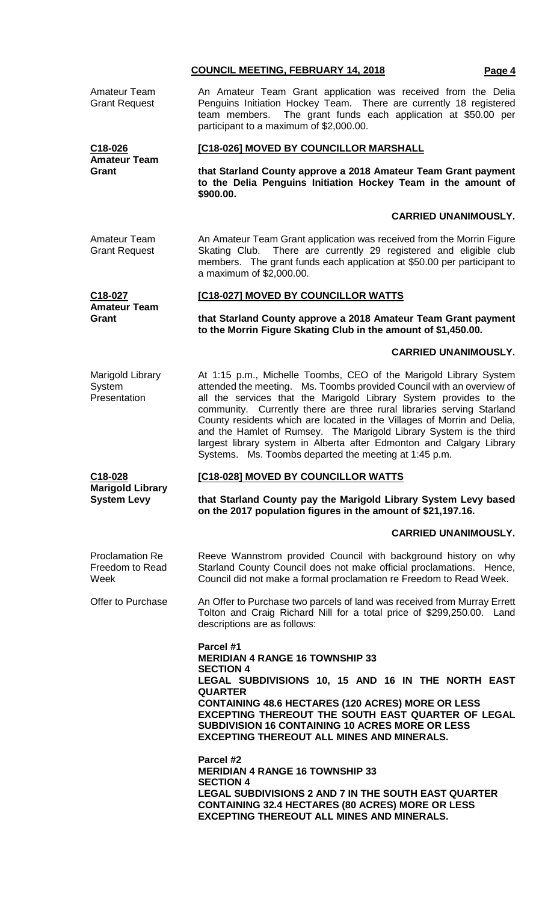An Amateur Team Grant application was received from the Delia

Amateur Team

Grant Request Penguins Initiation Hockey Team. There are currently 18 registered team members. The grant funds each application at \$50.00 per participant to a maximum of \$2,000.00. **C18-026 Amateur Team Grant [C18-026] MOVED BY COUNCILLOR MARSHALL that Starland County approve a 2018 Amateur Team Grant payment to the Delia Penguins Initiation Hockey Team in the amount of \$900.00. CARRIED UNANIMOUSLY.** Amateur Team Grant Request An Amateur Team Grant application was received from the Morrin Figure Skating Club. There are currently 29 registered and eligible club members. The grant funds each application at \$50.00 per participant to a maximum of \$2,000.00. **C18-027 Amateur Team Grant [C18-027] MOVED BY COUNCILLOR WATTS that Starland County approve a 2018 Amateur Team Grant payment to the Morrin Figure Skating Club in the amount of \$1,450.00. CARRIED UNANIMOUSLY.** Marigold Library **System Presentation** At 1:15 p.m., Michelle Toombs, CEO of the Marigold Library System attended the meeting. Ms. Toombs provided Council with an overview of all the services that the Marigold Library System provides to the community. Currently there are three rural libraries serving Starland County residents which are located in the Villages of Morrin and Delia, and the Hamlet of Rumsey. The Marigold Library System is the third largest library system in Alberta after Edmonton and Calgary Library Systems. Ms. Toombs departed the meeting at 1:45 p.m. **C18-028 Marigold Library System Levy [C18-028] MOVED BY COUNCILLOR WATTS that Starland County pay the Marigold Library System Levy based on the 2017 population figures in the amount of \$21,197.16. CARRIED UNANIMOUSLY.** Proclamation Re Freedom to Read Week Reeve Wannstrom provided Council with background history on why Starland County Council does not make official proclamations. Hence, Council did not make a formal proclamation re Freedom to Read Week. Offer to Purchase An Offer to Purchase two parcels of land was received from Murray Errett Tolton and Craig Richard Nill for a total price of \$299,250.00. Land descriptions are as follows: **Parcel #1 MERIDIAN 4 RANGE 16 TOWNSHIP 33 SECTION 4 LEGAL SUBDIVISIONS 10, 15 AND 16 IN THE NORTH EAST QUARTER CONTAINING 48.6 HECTARES (120 ACRES) MORE OR LESS EXCEPTING THEREOUT THE SOUTH EAST QUARTER OF LEGAL SUBDIVISION 16 CONTAINING 10 ACRES MORE OR LESS EXCEPTING THEREOUT ALL MINES AND MINERALS. Parcel #2 MERIDIAN 4 RANGE 16 TOWNSHIP 33 SECTION 4 LEGAL SUBDIVISIONS 2 AND 7 IN THE SOUTH EAST QUARTER CONTAINING 32.4 HECTARES (80 ACRES) MORE OR LESS EXCEPTING THEREOUT ALL MINES AND MINERALS.**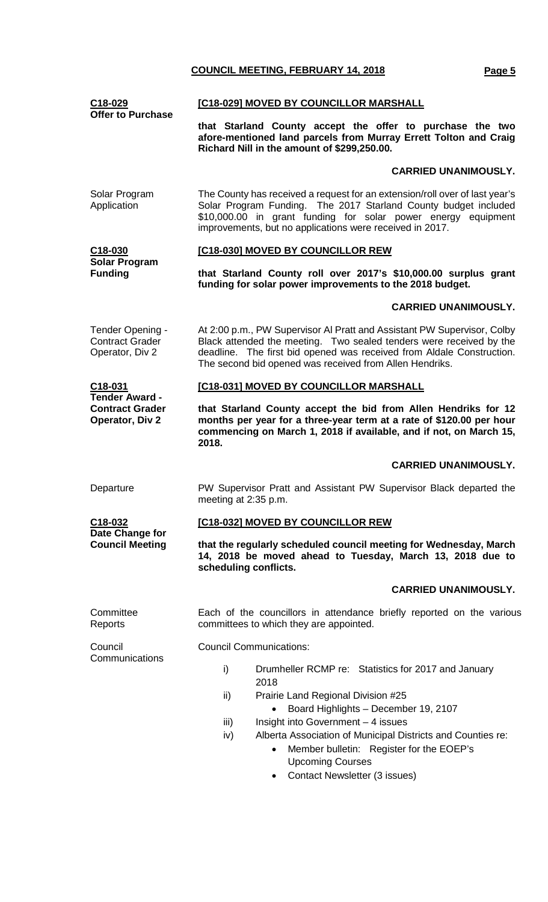#### **C18-029 Offer to Purchase [C18-029] MOVED BY COUNCILLOR MARSHALL**

**that Starland County accept the offer to purchase the two afore-mentioned land parcels from Murray Errett Tolton and Craig Richard Nill in the amount of \$299,250.00.**

#### **CARRIED UNANIMOUSLY.**

Solar Program Application The County has received a request for an extension/roll over of last year's Solar Program Funding. The 2017 Starland County budget included \$10,000.00 in grant funding for solar power energy equipment improvements, but no applications were received in 2017.

**C18-030 Solar Program Funding**

#### **[C18-030] MOVED BY COUNCILLOR REW**

**that Starland County roll over 2017's \$10,000.00 surplus grant funding for solar power improvements to the 2018 budget.**

#### **CARRIED UNANIMOUSLY.**

Tender Opening - Contract Grader Operator, Div 2 At 2:00 p.m., PW Supervisor Al Pratt and Assistant PW Supervisor, Colby Black attended the meeting. Two sealed tenders were received by the deadline. The first bid opened was received from Aldale Construction. The second bid opened was received from Allen Hendriks.

#### **[C18-031] MOVED BY COUNCILLOR MARSHALL**

**that Starland County accept the bid from Allen Hendriks for 12 months per year for a three-year term at a rate of \$120.00 per hour commencing on March 1, 2018 if available, and if not, on March 15, 2018.**

### **CARRIED UNANIMOUSLY.**

**C18-032**

**Date Change for Council Meeting**

**C18-031**

**Tender Award - Contract Grader Operator, Div 2**

Departure PW Supervisor Pratt and Assistant PW Supervisor Black departed the meeting at 2:35 p.m.

# **[C18-032] MOVED BY COUNCILLOR REW**

**that the regularly scheduled council meeting for Wednesday, March 14, 2018 be moved ahead to Tuesday, March 13, 2018 due to scheduling conflicts.**

#### **CARRIED UNANIMOUSLY.**

**Reports** 

Council

Each of the councillors in attendance briefly reported on the various committees to which they are appointed.

Council Communications:

- i) Drumheller RCMP re: Statistics for 2017 and January 2018
- ii) Prairie Land Regional Division #25
	- Board Highlights December 19, 2107
- iii) Insight into Government 4 issues
- iv) Alberta Association of Municipal Districts and Counties re:
	- Member bulletin: Register for the EOEP's Upcoming Courses
	- Contact Newsletter (3 issues)

**Committee** 

**Communications**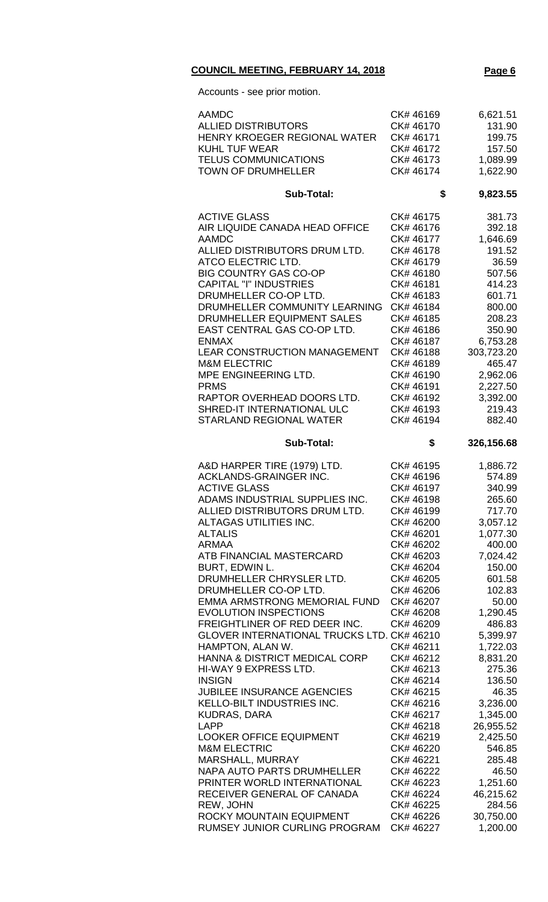Accounts - see prior motion.

| <b>AAMDC</b><br><b>ALLIED DISTRIBUTORS</b>                      | CK# 46169<br>CK# 46170 | 6,621.51<br>131.90    |
|-----------------------------------------------------------------|------------------------|-----------------------|
| HENRY KROEGER REGIONAL WATER                                    | CK# 46171              | 199.75                |
| <b>KUHL TUF WEAR</b><br><b>TELUS COMMUNICATIONS</b>             | CK# 46172<br>CK# 46173 | 157.50                |
| <b>TOWN OF DRUMHELLER</b>                                       | CK# 46174              | 1,089.99<br>1,622.90  |
|                                                                 |                        |                       |
| <b>Sub-Total:</b>                                               | \$                     | 9,823.55              |
| <b>ACTIVE GLASS</b>                                             | CK# 46175              | 381.73                |
| AIR LIQUIDE CANADA HEAD OFFICE                                  | CK# 46176              | 392.18                |
| <b>AAMDC</b>                                                    | CK# 46177              | 1,646.69              |
| ALLIED DISTRIBUTORS DRUM LTD.                                   | CK# 46178              | 191.52                |
| ATCO ELECTRIC LTD.                                              | CK# 46179              | 36.59                 |
| <b>BIG COUNTRY GAS CO-OP</b><br><b>CAPITAL "I" INDUSTRIES</b>   | CK# 46180<br>CK# 46181 | 507.56<br>414.23      |
| DRUMHELLER CO-OP LTD.                                           | CK# 46183              | 601.71                |
| DRUMHELLER COMMUNITY LEARNING                                   | CK#46184               | 800.00                |
| DRUMHELLER EQUIPMENT SALES                                      | CK# 46185              | 208.23                |
| EAST CENTRAL GAS CO-OP LTD.                                     | CK# 46186              | 350.90                |
| <b>ENMAX</b>                                                    | CK# 46187              | 6,753.28              |
| LEAR CONSTRUCTION MANAGEMENT                                    | CK# 46188              | 303,723.20            |
| <b>M&amp;M ELECTRIC</b>                                         | CK# 46189              | 465.47                |
| MPE ENGINEERING LTD.                                            | CK# 46190              | 2,962.06              |
| <b>PRMS</b>                                                     | CK# 46191              | 2,227.50              |
| RAPTOR OVERHEAD DOORS LTD.                                      | CK# 46192              | 3,392.00              |
| SHRED-IT INTERNATIONAL ULC                                      | CK# 46193              | 219.43                |
| <b>STARLAND REGIONAL WATER</b>                                  | CK# 46194              | 882.40                |
| <b>Sub-Total:</b>                                               | \$                     | 326,156.68            |
| A&D HARPER TIRE (1979) LTD.                                     | CK# 46195              | 1,886.72              |
| ACKLANDS-GRAINGER INC.                                          | CK# 46196              | 574.89                |
| <b>ACTIVE GLASS</b>                                             | CK# 46197              | 340.99                |
| ADAMS INDUSTRIAL SUPPLIES INC.<br>ALLIED DISTRIBUTORS DRUM LTD. | CK# 46198<br>CK# 46199 | 265.60<br>717.70      |
| ALTAGAS UTILITIES INC.                                          | CK# 46200              | 3,057.12              |
| <b>ALTALIS</b>                                                  | CK# 46201              | 1,077.30              |
| <b>ARMAA</b>                                                    | CK# 46202              | 400.00                |
| ATB FINANCIAL MASTERCARD                                        | CK# 46203              | 7,024.42              |
| BURT, EDWIN L.                                                  | CK# 46204              | 150.00                |
| DRUMHELLER CHRYSLER LTD.                                        | CK# 46205              | 601.58                |
| DRUMHELLER CO-OP LTD.                                           | CK# 46206              | 102.83                |
| <b>EMMA ARMSTRONG MEMORIAL FUND</b>                             | CK# 46207              | 50.00                 |
| <b>EVOLUTION INSPECTIONS</b><br>FREIGHTLINER OF RED DEER INC.   | CK# 46208<br>CK# 46209 | 1,290.45<br>486.83    |
| GLOVER INTERNATIONAL TRUCKS LTD. CK# 46210                      |                        | 5,399.97              |
| HAMPTON, ALAN W.                                                | CK# 46211              | 1,722.03              |
| <b>HANNA &amp; DISTRICT MEDICAL CORP</b>                        | CK# 46212              | 8,831.20              |
| HI-WAY 9 EXPRESS LTD.                                           | CK# 46213              | 275.36                |
| <b>INSIGN</b>                                                   | CK# 46214              | 136.50                |
| <b>JUBILEE INSURANCE AGENCIES</b>                               | CK# 46215              | 46.35                 |
| KELLO-BILT INDUSTRIES INC.                                      | CK# 46216              | 3,236.00              |
| <b>KUDRAS, DARA</b>                                             | CK# 46217              | 1,345.00              |
| <b>LAPP</b><br><b>LOOKER OFFICE EQUIPMENT</b>                   | CK# 46218<br>CK# 46219 | 26,955.52<br>2,425.50 |
| <b>M&amp;M ELECTRIC</b>                                         | CK# 46220              | 546.85                |
| MARSHALL, MURRAY                                                | CK# 46221              | 285.48                |
| NAPA AUTO PARTS DRUMHELLER                                      | CK# 46222              | 46.50                 |
| PRINTER WORLD INTERNATIONAL                                     | CK# 46223              | 1,251.60              |
| RECEIVER GENERAL OF CANADA                                      | CK# 46224              | 46,215.62             |
| REW, JOHN                                                       | CK# 46225              | 284.56                |
| ROCKY MOUNTAIN EQUIPMENT                                        | CK# 46226              | 30,750.00             |
| RUMSEY JUNIOR CURLING PROGRAM                                   | CK# 46227              | 1,200.00              |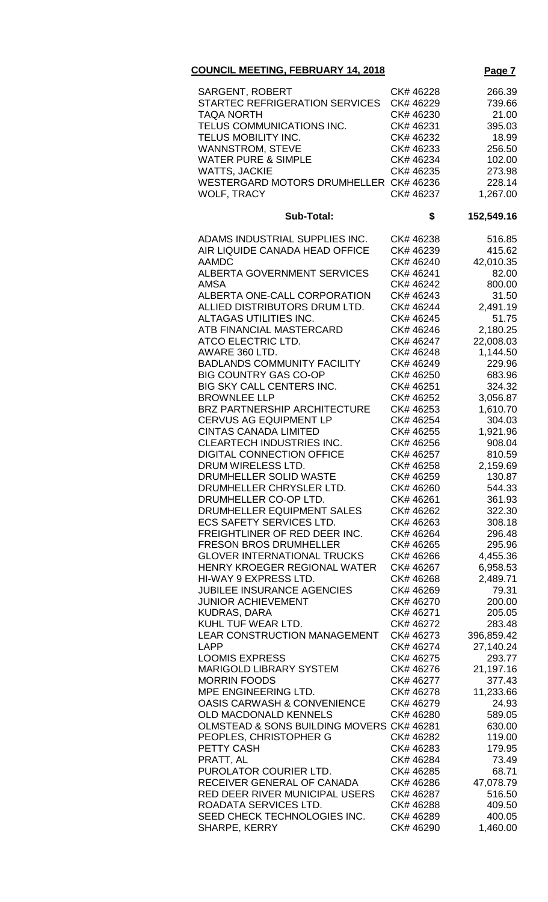| <b>SARGENT, ROBERT</b><br><b>STARTEC REFRIGERATION SERVICES</b><br><b>TAQA NORTH</b><br>TELUS COMMUNICATIONS INC.<br>TELUS MOBILITY INC.<br><b>WANNSTROM, STEVE</b><br><b>WATER PURE &amp; SIMPLE</b><br><b>WATTS, JACKIE</b>                                                                                                                                                                                                                                                                                                                                                                                                                                                                                                                                                                                                                                                                                                                                                                                                                                                                                                                                                                                                                                                                                                                                                                      | CK# 46228<br>CK# 46229<br>CK# 46230<br>CK# 46231<br>CK# 46232<br>CK# 46233<br>CK# 46234<br>CK# 46235                                                                                                                                                                                                                                                                                                                                                                                                                                                                                                              | 266.39<br>739.66<br>21.00<br>395.03<br>18.99<br>256.50<br>102.00<br>273.98                                                                                                                                                                                                                                                                                                                                                                                                                                          |
|----------------------------------------------------------------------------------------------------------------------------------------------------------------------------------------------------------------------------------------------------------------------------------------------------------------------------------------------------------------------------------------------------------------------------------------------------------------------------------------------------------------------------------------------------------------------------------------------------------------------------------------------------------------------------------------------------------------------------------------------------------------------------------------------------------------------------------------------------------------------------------------------------------------------------------------------------------------------------------------------------------------------------------------------------------------------------------------------------------------------------------------------------------------------------------------------------------------------------------------------------------------------------------------------------------------------------------------------------------------------------------------------------|-------------------------------------------------------------------------------------------------------------------------------------------------------------------------------------------------------------------------------------------------------------------------------------------------------------------------------------------------------------------------------------------------------------------------------------------------------------------------------------------------------------------------------------------------------------------------------------------------------------------|---------------------------------------------------------------------------------------------------------------------------------------------------------------------------------------------------------------------------------------------------------------------------------------------------------------------------------------------------------------------------------------------------------------------------------------------------------------------------------------------------------------------|
| WESTERGARD MOTORS DRUMHELLER CK# 46236<br><b>WOLF, TRACY</b>                                                                                                                                                                                                                                                                                                                                                                                                                                                                                                                                                                                                                                                                                                                                                                                                                                                                                                                                                                                                                                                                                                                                                                                                                                                                                                                                       | CK# 46237                                                                                                                                                                                                                                                                                                                                                                                                                                                                                                                                                                                                         | 228.14<br>1,267.00                                                                                                                                                                                                                                                                                                                                                                                                                                                                                                  |
| <b>Sub-Total:</b>                                                                                                                                                                                                                                                                                                                                                                                                                                                                                                                                                                                                                                                                                                                                                                                                                                                                                                                                                                                                                                                                                                                                                                                                                                                                                                                                                                                  | \$                                                                                                                                                                                                                                                                                                                                                                                                                                                                                                                                                                                                                | 152,549.16                                                                                                                                                                                                                                                                                                                                                                                                                                                                                                          |
| ADAMS INDUSTRIAL SUPPLIES INC.<br>AIR LIQUIDE CANADA HEAD OFFICE<br><b>AAMDC</b><br>ALBERTA GOVERNMENT SERVICES<br>AMSA<br>ALBERTA ONE-CALL CORPORATION<br>ALLIED DISTRIBUTORS DRUM LTD.<br>ALTAGAS UTILITIES INC.<br>ATB FINANCIAL MASTERCARD<br>ATCO ELECTRIC LTD.<br>AWARE 360 LTD.<br><b>BADLANDS COMMUNITY FACILITY</b><br><b>BIG COUNTRY GAS CO-OP</b><br><b>BIG SKY CALL CENTERS INC.</b><br><b>BROWNLEE LLP</b><br><b>BRZ PARTNERSHIP ARCHITECTURE</b><br><b>CERVUS AG EQUIPMENT LP</b><br><b>CINTAS CANADA LIMITED</b><br><b>CLEARTECH INDUSTRIES INC.</b><br><b>DIGITAL CONNECTION OFFICE</b><br>DRUM WIRELESS LTD.<br>DRUMHELLER SOLID WASTE<br>DRUMHELLER CHRYSLER LTD.<br>DRUMHELLER CO-OP LTD.<br>DRUMHELLER EQUIPMENT SALES<br><b>ECS SAFETY SERVICES LTD.</b><br>FREIGHTLINER OF RED DEER INC.<br><b>FRESON BROS DRUMHELLER</b><br><b>GLOVER INTERNATIONAL TRUCKS</b><br>HENRY KROEGER REGIONAL WATER<br><b>HI-WAY 9 EXPRESS LTD.</b><br><b>JUBILEE INSURANCE AGENCIES</b><br><b>JUNIOR ACHIEVEMENT</b><br><b>KUDRAS, DARA</b><br>KUHL TUF WEAR LTD.<br>LEAR CONSTRUCTION MANAGEMENT<br><b>LAPP</b><br><b>LOOMIS EXPRESS</b><br><b>MARIGOLD LIBRARY SYSTEM</b><br><b>MORRIN FOODS</b><br>MPE ENGINEERING LTD.<br><b>OASIS CARWASH &amp; CONVENIENCE</b><br>OLD MACDONALD KENNELS<br>OLMSTEAD & SONS BUILDING MOVERS CK# 46281<br>PEOPLES, CHRISTOPHER G<br>PETTY CASH<br>PRATT, AL | CK# 46238<br>CK# 46239<br>CK# 46240<br>CK# 46241<br>CK# 46242<br>CK# 46243<br>CK# 46244<br>CK# 46245<br>CK# 46246<br>CK# 46247<br>CK# 46248<br>CK# 46249<br>CK# 46250<br>CK# 46251<br>CK# 46252<br>CK# 46253<br>CK# 46254<br>CK# 46255<br>CK# 46256<br>CK# 46257<br>CK# 46258<br>CK# 46259<br>CK# 46260<br>CK# 46261<br>CK# 46262<br>CK#46263<br>CK# 46264<br>CK# 46265<br>CK# 46266<br>CK# 46267<br>CK# 46268<br>CK# 46269<br>CK# 46270<br>CK# 46271<br>CK# 46272<br>CK# 46273<br>CK# 46274<br>CK# 46275<br>CK# 46276<br>CK# 46277<br>CK# 46278<br>CK# 46279<br>CK# 46280<br>CK# 46282<br>CK# 46283<br>CK# 46284 | 516.85<br>415.62<br>42,010.35<br>82.00<br>800.00<br>31.50<br>2,491.19<br>51.75<br>2,180.25<br>22,008.03<br>1,144.50<br>229.96<br>683.96<br>324.32<br>3,056.87<br>1,610.70<br>304.03<br>1,921.96<br>908.04<br>810.59<br>2,159.69<br>130.87<br>544.33<br>361.93<br>322.30<br>308.18<br>296.48<br>295.96<br>4,455.36<br>6,958.53<br>2,489.71<br>79.31<br>200.00<br>205.05<br>283.48<br>396,859.42<br>27,140.24<br>293.77<br>21,197.16<br>377.43<br>11,233.66<br>24.93<br>589.05<br>630.00<br>119.00<br>179.95<br>73.49 |
| PUROLATOR COURIER LTD.<br>RECEIVER GENERAL OF CANADA<br>RED DEER RIVER MUNICIPAL USERS<br>ROADATA SERVICES LTD.<br>SEED CHECK TECHNOLOGIES INC.<br>SHARPE, KERRY                                                                                                                                                                                                                                                                                                                                                                                                                                                                                                                                                                                                                                                                                                                                                                                                                                                                                                                                                                                                                                                                                                                                                                                                                                   | CK# 46285<br>CK# 46286<br>CK# 46287<br>CK# 46288<br>CK# 46289<br>CK# 46290                                                                                                                                                                                                                                                                                                                                                                                                                                                                                                                                        | 68.71<br>47,078.79<br>516.50<br>409.50<br>400.05<br>1,460.00                                                                                                                                                                                                                                                                                                                                                                                                                                                        |